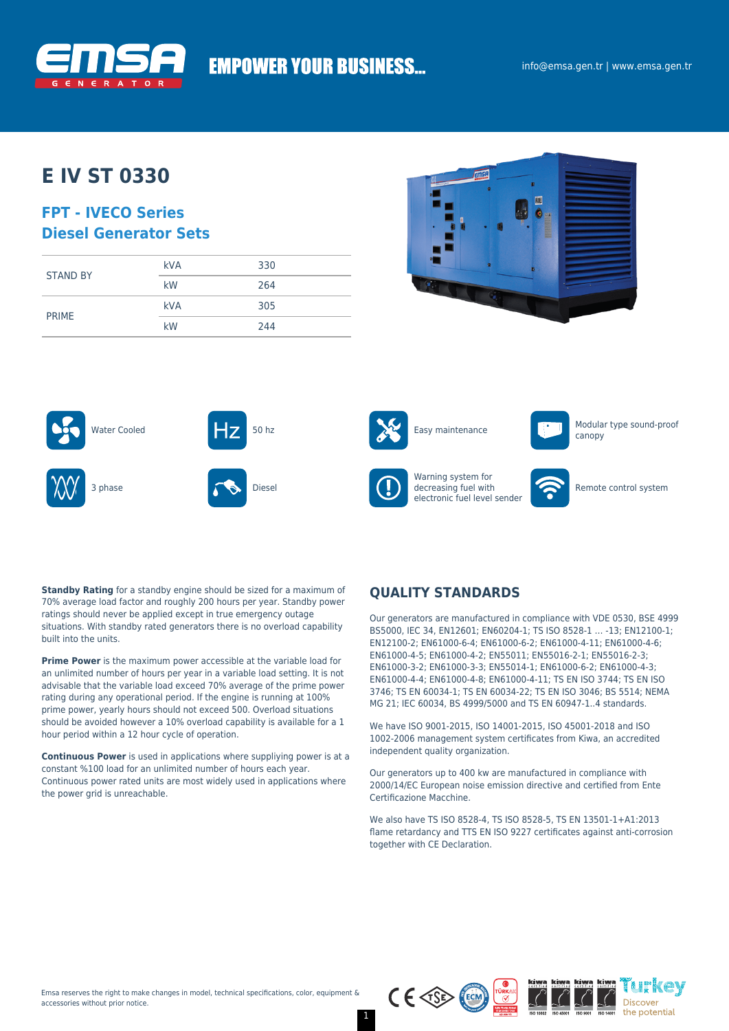

# **EMPOWER YOUR BUSINESS...**

# **E IV ST 0330**

## **FPT - IVECO Series Diesel Generator Sets**

| <b>STAND BY</b> | <b>kVA</b> | 330 |
|-----------------|------------|-----|
|                 | kW         | 264 |
| <b>PRIME</b>    | <b>kVA</b> | 305 |
|                 | kW         | 244 |







Warning system for decreasing fuel with electronic fuel level sender



canopy

Remote control system

**Standby Rating** for a standby engine should be sized for a maximum of 70% average load factor and roughly 200 hours per year. Standby power ratings should never be applied except in true emergency outage situations. With standby rated generators there is no overload capability built into the units.

**Prime Power** is the maximum power accessible at the variable load for an unlimited number of hours per year in a variable load setting. It is not advisable that the variable load exceed 70% average of the prime power rating during any operational period. If the engine is running at 100% prime power, yearly hours should not exceed 500. Overload situations should be avoided however a 10% overload capability is available for a 1 hour period within a 12 hour cycle of operation.

**Continuous Power** is used in applications where suppliying power is at a constant %100 load for an unlimited number of hours each year. Continuous power rated units are most widely used in applications where the power grid is unreachable.

## **QUALITY STANDARDS**

Our generators are manufactured in compliance with VDE 0530, BSE 4999 BS5000, IEC 34, EN12601; EN60204-1; TS ISO 8528-1 … -13; EN12100-1; EN12100-2; EN61000-6-4; EN61000-6-2; EN61000-4-11; EN61000-4-6; EN61000-4-5; EN61000-4-2; EN55011; EN55016-2-1; EN55016-2-3; EN61000-3-2; EN61000-3-3; EN55014-1; EN61000-6-2; EN61000-4-3; EN61000-4-4; EN61000-4-8; EN61000-4-11; TS EN ISO 3744; TS EN ISO 3746; TS EN 60034-1; TS EN 60034-22; TS EN ISO 3046; BS 5514; NEMA MG 21; IEC 60034, BS 4999/5000 and TS EN 60947-1..4 standards.

We have ISO 9001-2015, ISO 14001-2015, ISO 45001-2018 and ISO 1002-2006 management system certificates from Kiwa, an accredited independent quality organization.

Our generators up to 400 kw are manufactured in compliance with 2000/14/EC European noise emission directive and certified from Ente Certificazione Macchine.

We also have TS ISO 8528-4, TS ISO 8528-5, TS EN 13501-1+A1:2013 flame retardancy and TTS EN ISO 9227 certificates against anti-corrosion together with CE Declaration.

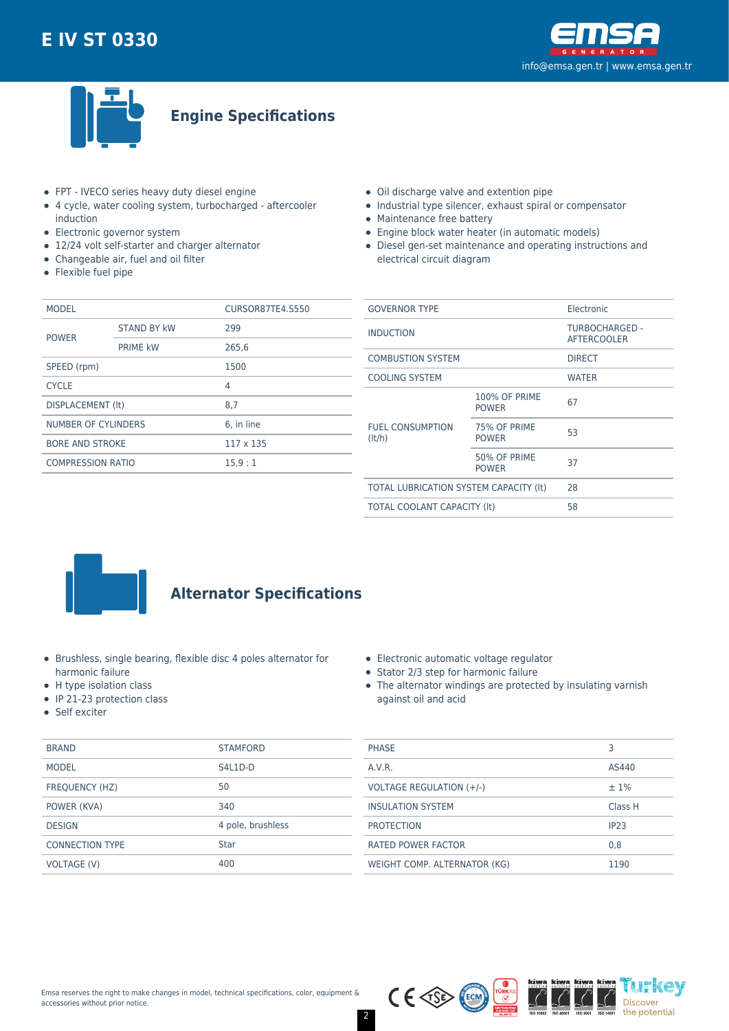



**Engine Specifications**

- FPT IVECO series heavy duty diesel engine
- 4 cycle, water cooling system, turbocharged aftercooler induction
- Electronic governor system
- 12/24 volt self-starter and charger alternator
- Changeable air, fuel and oil filter
- Flexible fuel pipe
- Oil discharge valve and extention pipe
- Industrial type silencer, exhaust spiral or compensator
- Maintenance free battery
- Engine block water heater (in automatic models)
- Diesel gen-set maintenance and operating instructions and electrical circuit diagram

| <b>MODEL</b>             |                    | CURSOR87TE4.S550 |  |
|--------------------------|--------------------|------------------|--|
| <b>POWER</b>             | <b>STAND BY kW</b> | 299              |  |
|                          | <b>PRIME kW</b>    | 265,6            |  |
| SPEED (rpm)              |                    | 1500             |  |
| <b>CYCLE</b>             |                    | 4                |  |
| DISPLACEMENT (It)        |                    | 8.7              |  |
| NUMBER OF CYLINDERS      |                    | 6. in line       |  |
| <b>BORE AND STROKE</b>   |                    | 117 x 135        |  |
| <b>COMPRESSION RATIO</b> |                    | 15.9:1           |  |
|                          |                    |                  |  |

| <b>GOVERNOR TYPE</b>                   |                                      | Electronic                           |  |
|----------------------------------------|--------------------------------------|--------------------------------------|--|
| <b>INDUCTION</b>                       |                                      | TURBOCHARGED -<br><b>AFTERCOOLER</b> |  |
| <b>COMBUSTION SYSTEM</b>               |                                      | <b>DIRECT</b>                        |  |
| <b>COOLING SYSTEM</b>                  |                                      | <b>WATER</b>                         |  |
| <b>FUEL CONSUMPTION</b><br>(lt/h)      | <b>100% OF PRIME</b><br><b>POWER</b> | 67                                   |  |
|                                        | 75% OF PRIME<br><b>POWER</b>         | 53                                   |  |
|                                        | 50% OF PRIME<br><b>POWER</b>         | 37                                   |  |
| TOTAL LUBRICATION SYSTEM CAPACITY (It) |                                      | 28                                   |  |
| <b>TOTAL COOLANT CAPACITY (It)</b>     |                                      | 58                                   |  |
|                                        |                                      |                                      |  |



# **Alternator Specifications**

- Brushless, single bearing, flexible disc 4 poles alternator for harmonic failure
- H type isolation class
- $\bullet$  IP 21-23 protection class
- Self exciter

| <b>BRAND</b>           | <b>STAMFORD</b>   |
|------------------------|-------------------|
| <b>MODEL</b>           | S4L1D-D           |
| FREQUENCY (HZ)         | 50                |
| POWER (KVA)            | 340               |
| <b>DESIGN</b>          | 4 pole, brushless |
| <b>CONNECTION TYPE</b> | Star              |
| <b>VOLTAGE (V)</b>     | 400               |

|  | Electronic automatic voltage regulator |  |
|--|----------------------------------------|--|
|  |                                        |  |

- Stator 2/3 step for harmonic failure
- The alternator windings are protected by insulating varnish against oil and acid

| <b>PHASE</b>                 | З                |
|------------------------------|------------------|
| A.V.R.                       | AS440            |
| VOLTAGE REGULATION (+/-)     | $±1\%$           |
| <b>INSULATION SYSTEM</b>     | Class H          |
| <b>PROTECTION</b>            | IP <sub>23</sub> |
| <b>RATED POWER FACTOR</b>    | 0,8              |
| WEIGHT COMP. ALTERNATOR (KG) | 1190             |

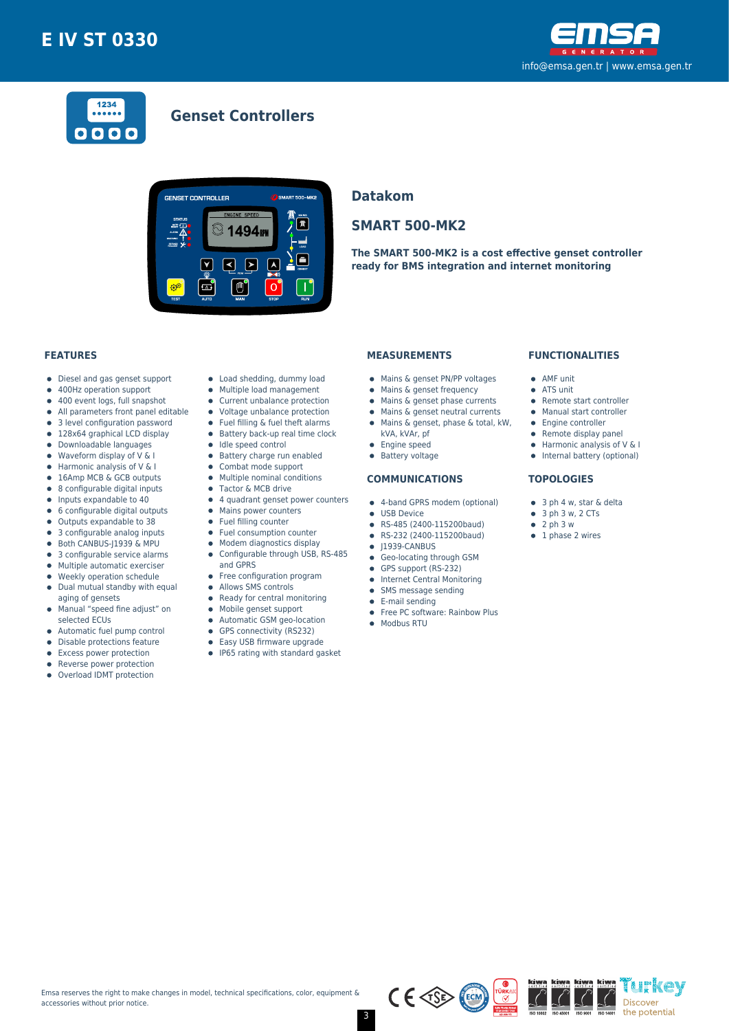



# **Genset Controllers**



## **Datakom**

## **SMART 500-MK2**

**The SMART 500-MK2 is a cost effective genset controller ready for BMS integration and internet monitoring**

### **FEATURES**

- Diesel and gas genset support  $\bullet$
- 400Hz operation support  $\bullet$
- $\bullet$ 400 event logs, full snapshot
- All parameters front panel editable  $\bullet$
- 3 level configuration password
- 128x64 graphical LCD display  $\bullet$
- Downloadable languages
- $\bullet$ Waveform display of V & I
- Harmonic analysis of V & I  $\bullet$
- 16Amp MCB & GCB outputs 8 configurable digital inputs  $\bullet$
- $\bullet$
- Inputs expandable to 40  $\bullet$
- 6 configurable digital outputs Outputs expandable to 38  $\bullet$
- 3 configurable analog inputs
- Both CANBUS-J1939 & MPU  $\bullet$
- 3 configurable service alarms  $\bullet$
- $\bullet$ Multiple automatic exerciser
- Weekly operation schedule  $\blacksquare$
- $\bullet$ Dual mutual standby with equal aging of gensets
- Manual "speed fine adjust" on  $\bullet$
- selected ECUs
- Automatic fuel pump control  $\bullet$
- $\bullet$ Disable protections feature
- Excess power protection
- Reverse power protection
- Overload IDMT protection  $\bullet$
- Load shedding, dummy load
- Multiple load management  $\bullet$
- Current unbalance protection
- Voltage unbalance protection
- $\bullet$ Fuel filling & fuel theft alarms
- $\bullet$  Battery back-up real time clock
- $\bullet$  Idle speed control
- **•** Battery charge run enabled
- $\bullet$ Combat mode support
- $\bullet$ Multiple nominal conditions
- Tactor & MCB drive
- 4 quadrant genset power counters
- Mains power counters
- Fuel filling counter  $\bullet$ Fuel consumption counter
- 
- Modem diagnostics display  $\bullet$ Configurable through USB, RS-485  $\bullet$
- and GPRS
- Free configuration program
- $\bullet$ Allows SMS controls
- $\bullet$ Ready for central monitoring
- 
- Mobile genset support  $\bullet$
- Automatic GSM geo-location  $\bullet$
- $\bullet$ GPS connectivity (RS232)
- $\bullet$ Easy USB firmware upgrade
- IP65 rating with standard gasket

### **MEASUREMENTS**

- Mains & genset PN/PP voltages
- Mains & genset frequency
- $\bullet$  Mains & genset phase currents
- Mains & genset neutral currents  $\bullet$
- Mains & genset, phase & total, kW,
	- kVA, kVAr, pf
- **•** Engine speed
- **•** Battery voltage

#### **COMMUNICATIONS**

- 4-band GPRS modem (optional)
- **CONTRACTE OF LISR Device**
- RS-485 (2400-115200baud)
- RS-232 (2400-115200baud)  $\bullet$
- $\bullet$  J1939-CANBUS
- **Geo-locating through GSM**
- GPS support (RS-232)
- **•** Internet Central Monitoring
- SMS message sending  $\bullet$
- E-mail sending
- Free PC software: Rainbow Plus
- Modbus RTU

### **FUNCTIONALITIES**

- AMF unit
- ATS unit
- Remote start controller
- Manual start controller
- Engine controller
- $\bullet$  Remote display panel
- $\bullet$  Harmonic analysis of V & I
- Internal battery (optional)

#### **TOPOLOGIES**

- 3 ph 4 w, star & delta
- $\bullet$  3 ph 3 w, 2 CTs
- $\bullet$  2 ph 3 w
- $\bullet$  1 phase 2 wires

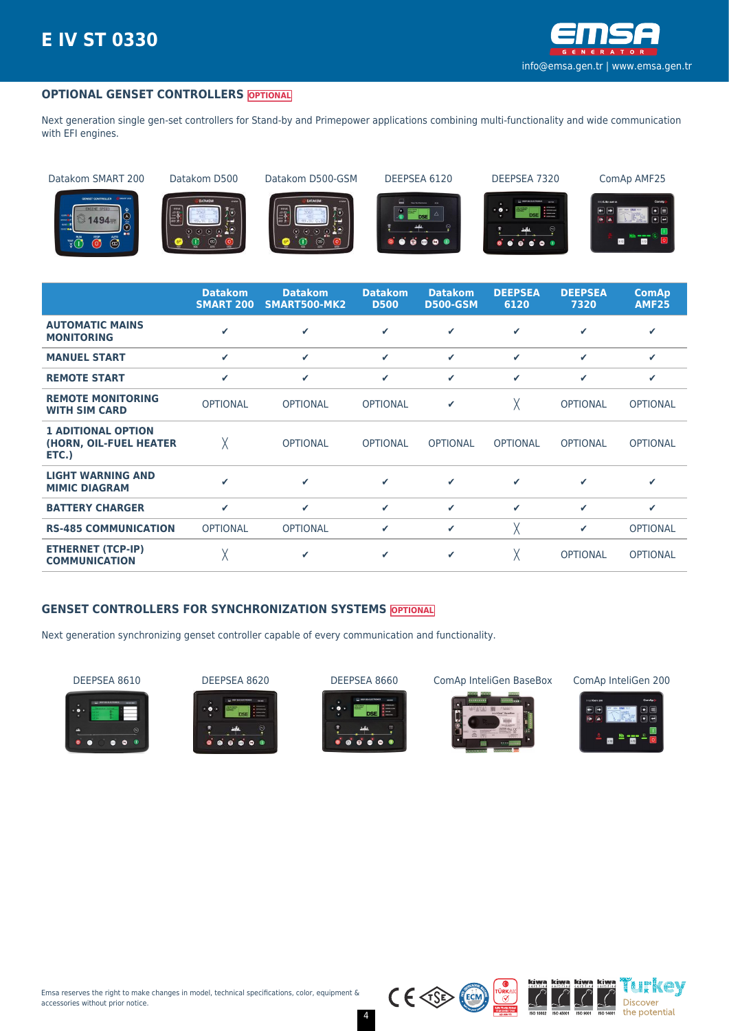

## **OPTIONAL GENSET CONTROLLERS OPTIONAL**

Next generation single gen-set controllers for Stand-by and Primepower applications combining multi-functionality and wide communication with EFI engines.

Datakom SMART 200 Datakom D500 Datakom D500-GSM DEEPSEA 6120 DEEPSEA 7320 ComAp AMF25







Ö

 $\bullet$  $\bullet$ 





|                                                              | <b>Datakom</b><br><b>SMART 200</b> | <b>Datakom</b><br>SMART500-MK2 | <b>Datakom</b><br><b>D500</b> | <b>Datakom</b><br><b>D500-GSM</b> | <b>DEEPSEA</b><br>6120 | <b>DEEPSEA</b><br>7320 | <b>ComAp</b><br><b>AMF25</b> |
|--------------------------------------------------------------|------------------------------------|--------------------------------|-------------------------------|-----------------------------------|------------------------|------------------------|------------------------------|
| <b>AUTOMATIC MAINS</b><br><b>MONITORING</b>                  | J                                  | ✔                              | ✓                             | ✓                                 | ✔                      | ✔                      | ✔                            |
| <b>MANUEL START</b>                                          | ✔                                  | ✓                              | ✓                             | $\checkmark$                      | ✓                      | ✓                      | ✓                            |
| <b>REMOTE START</b>                                          | ✔                                  | ✓                              | ✓                             | $\checkmark$                      | ✓                      | ✔                      | ✓                            |
| <b>REMOTE MONITORING</b><br><b>WITH SIM CARD</b>             | <b>OPTIONAL</b>                    | <b>OPTIONAL</b>                | <b>OPTIONAL</b>               | $\checkmark$                      | χ                      | <b>OPTIONAL</b>        | <b>OPTIONAL</b>              |
| <b>1 ADITIONAL OPTION</b><br>(HORN, OIL-FUEL HEATER<br>ETC.) | χ                                  | <b>OPTIONAL</b>                | <b>OPTIONAL</b>               | <b>OPTIONAL</b>                   | <b>OPTIONAL</b>        | <b>OPTIONAL</b>        | <b>OPTIONAL</b>              |
| <b>LIGHT WARNING AND</b><br><b>MIMIC DIAGRAM</b>             | ✔                                  | ✔                              | ✓                             | ✓                                 | ✓                      | ✓                      | ✔                            |
| <b>BATTERY CHARGER</b>                                       | ✓                                  | ✓                              | ✔                             | $\checkmark$                      | ✓                      | ✔                      | ✔                            |
| <b>RS-485 COMMUNICATION</b>                                  | <b>OPTIONAL</b>                    | <b>OPTIONAL</b>                | ✓                             | ✓                                 | χ                      | ✓                      | <b>OPTIONAL</b>              |
| <b>ETHERNET (TCP-IP)</b><br><b>COMMUNICATION</b>             |                                    | ✔                              | ✓                             | $\checkmark$                      | χ                      | <b>OPTIONAL</b>        | <b>OPTIONAL</b>              |

### **GENSET CONTROLLERS FOR SYNCHRONIZATION SYSTEMS OPTIONAL**

Next generation synchronizing genset controller capable of every communication and functionality.









 $C \in \text{CSP}$ 

DEEPSEA 8610 DEEPSEA 8620 DEEPSEA 8660 ComAp InteliGen BaseBox ComAp InteliGen 200



kiwa kiwa ih'kev Discover the potential